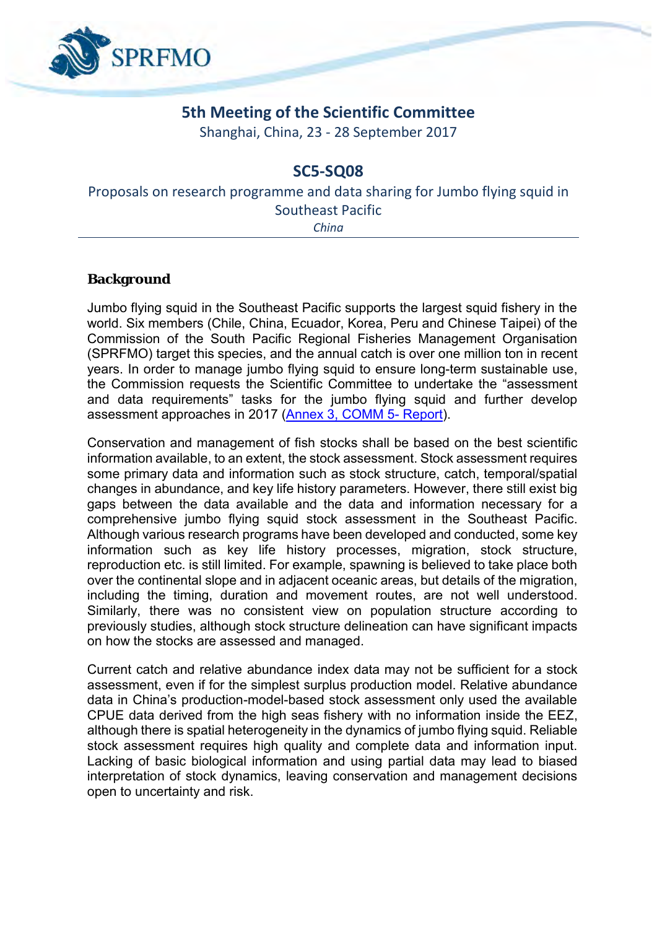

## **5th Meeting of the Scientific Committee**

Shanghai, China, 23 - 28 September 2017

## **SC5-SQ08**

Proposals on research programme and data sharing for Jumbo flying squid in Southeast Pacific

*China*

**Background**

Jumbo flying squid in the Southeast Pacific supports the largest squid fishery in the world. Six members (Chile, China, Ecuador, Korea, Peru and Chinese Taipei) of the Commission of the South Pacific Regional Fisheries Management Organisation (SPRFMO) target this species, and the annual catch is over one million ton in recent years. In order to manage jumbo flying squid to ensure long-term sustainable use, the Commission requests the Scientific Committee to undertake the "assessment and data requirements" tasks for the jumbo flying squid and further develop assessment approaches in 2017 (Annex 3, [COMM 5-](http://www.sprfmo.int/assets/01-Commission-2017/ANNEXES/COMM5-Report-ANNEX-3-SC-Workplan-2017-p18-20.pdf) Report).

Conservation and management of fish stocks shall be based on the best scientific information available, to an extent, the stock assessment. Stock assessment requires some primary data and information such as stock structure, catch, temporal/spatial changes in abundance, and key life history parameters. However, there still exist big gaps between the data available and the data and information necessary for a comprehensive jumbo flying squid stock assessment in the Southeast Pacific. Although various research programs have been developed and conducted, some key information such as key life history processes, migration, stock structure, reproduction etc. is still limited. For example, spawning is believed to take place both over the continental slope and in adjacent oceanic areas, but details of the migration, including the timing, duration and movement routes, are not well understood. Similarly, there was no consistent view on population structure according to previously studies, although stock structure delineation can have significant impacts on how the stocks are assessed and managed.

Current catch and relative abundance index data may not be sufficient for a stock assessment, even if for the simplest surplus production model. Relative abundance data in China's production-model-based stock assessment only used the available CPUE data derived from the high seas fishery with no information inside the EEZ, although there is spatial heterogeneity in the dynamics of jumbo flying squid. Reliable stock assessment requires high quality and complete data and information input. Lacking of basic biological information and using partial data may lead to biased interpretation of stock dynamics, leaving conservation and management decisions open to uncertainty and risk.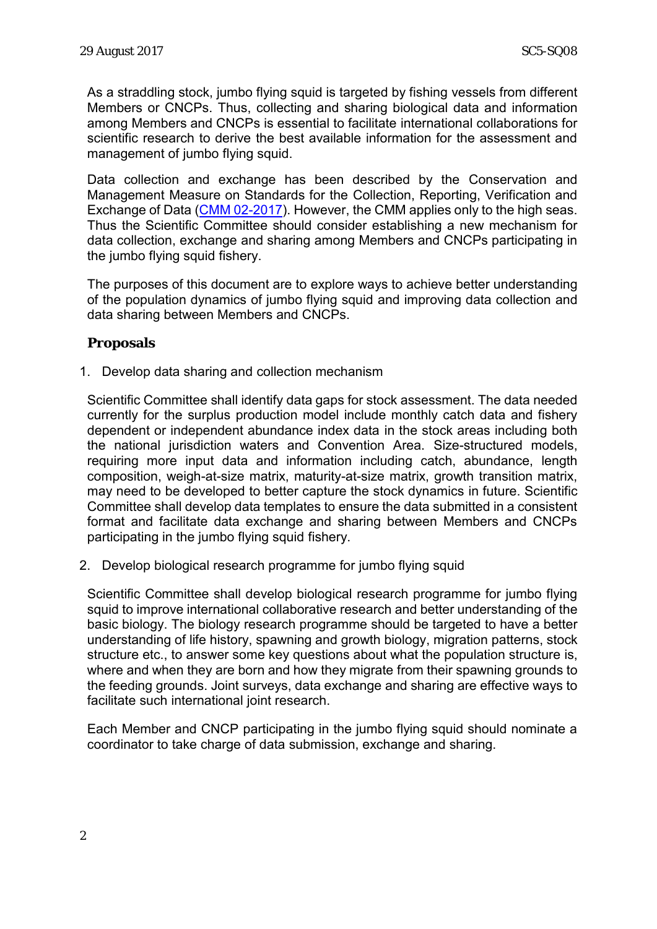As a straddling stock, jumbo flying squid is targeted by fishing vessels from different Members or CNCPs. Thus, collecting and sharing biological data and information among Members and CNCPs is essential to facilitate international collaborations for scientific research to derive the best available information for the assessment and management of jumbo flying squid.

Data collection and exchange has been described by the Conservation and Management Measure on Standards for the Collection, Reporting, Verification and Exchange of Data [\(CMM 02-2017\)](http://www.sprfmo.int/assets/Fisheries/Conservation-and-Management-Measures/CMM-02-2017-Data-Standards-27Feb17.pdf). However, the CMM applies only to the high seas. Thus the Scientific Committee should consider establishing a new mechanism for data collection, exchange and sharing among Members and CNCPs participating in the jumbo flying squid fishery.

The purposes of this document are to explore ways to achieve better understanding of the population dynamics of jumbo flying squid and improving data collection and data sharing between Members and CNCPs.

**Proposals**

1. Develop data sharing and collection mechanism

Scientific Committee shall identify data gaps for stock assessment. The data needed currently for the surplus production model include monthly catch data and fishery dependent or independent abundance index data in the stock areas including both the national jurisdiction waters and Convention Area. Size-structured models, requiring more input data and information including catch, abundance, length composition, weigh-at-size matrix, maturity-at-size matrix, growth transition matrix, may need to be developed to better capture the stock dynamics in future. Scientific Committee shall develop data templates to ensure the data submitted in a consistent format and facilitate data exchange and sharing between Members and CNCPs participating in the jumbo flying squid fishery.

2. Develop biological research programme for jumbo flying squid

Scientific Committee shall develop biological research programme for jumbo flying squid to improve international collaborative research and better understanding of the basic biology. The biology research programme should be targeted to have a better understanding of life history, spawning and growth biology, migration patterns, stock structure etc., to answer some key questions about what the population structure is, where and when they are born and how they migrate from their spawning grounds to the feeding grounds. Joint surveys, data exchange and sharing are effective ways to facilitate such international joint research.

Each Member and CNCP participating in the jumbo flying squid should nominate a coordinator to take charge of data submission, exchange and sharing.